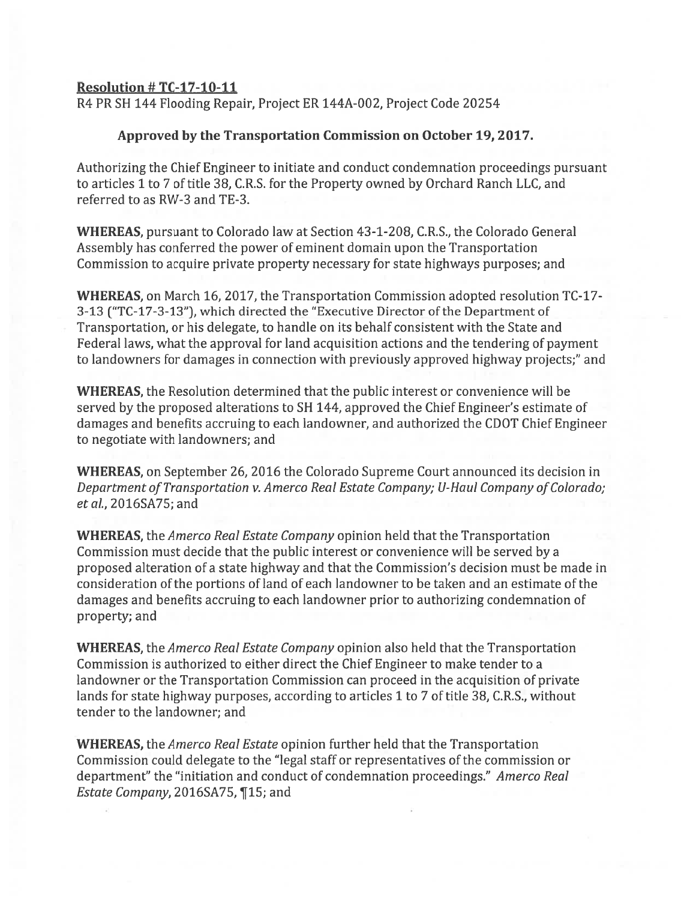## Resolution # TC-17-1O-11

R4 PR SH 144 Flooding Repair, Project ER 144A-002, Project Code 20254

## Approved by the Transportation Commission on October 19, 2017.

Authorizing the Chief Engineer to initiate and conduct condemnation proceedings pursuan<sup>t</sup> to articles 1 to 7 of title 38, C.R.S. for the Property owned by Orchard Ranch LLC, and referred to as RW-3 and TE-3.

WHEREAS, pursuan<sup>t</sup> to Colorado law at Section 43-1-208, C.R.S., the Colorado General Assembly has conferred the power of eminent domain upon the Transportation Commission to acquire private property necessary for state highways purposes; and

WHEREAS, on March 16, 2017, the Transportation Commission adopted resolution TC-17- 3-13 ("TC-17-3-13"), which directed the "Executive Director of the Department of Transportation, or his delegate, to handle on its behalf consistent with the State and Federal laws, what the approval for land acquisition actions and the tendering of paymen<sup>t</sup> to landowners for damages in connection with previously approved highway projects;" and

WHEREAS, the Resolution determined that the public interest or convenience will be served by the proposed alterations to SH 144, approved the Chief Engineer's estimate of damages and benefits accruing to each landowner, and authorized the CDOT Chief Engineer to negotiate with landowners; and

WHEREAS, on September 26, 2016 the Colorado Supreme Court announced its decision in Department of Transportation v. Amerco Real Estate Company; U-Haul Company of Colorado; etal., 2016SA75; and

WHEREAS, the Amerco Real Estate Company opinion held that the Transportation Commission must decide that the public interest or convenience will be served by <sup>a</sup> proposed alteration of <sup>a</sup> state highway and that the Commission's decision must be made in consideration of the portions of land of each landowner to be taken and an estimate of the damages and benefits accruing to each landowner prior to authorizing condemnation of property; and

WHEREAS, the *Amerco Real Estate Company* opinion also held that the Transportation Commission is authorized to either direct the Chief Engineer to make tender to <sup>a</sup> landowner or the Transportation Commission can proceed in the acquisition of private lands for state highway purposes, according to articles 1 to 7 of title 38, C.RS., without tender to the landowner; and

WHEREAS, the Amerco Real Estate opinion further held that the Transportation Commission could delegate to the "legal staff or representatives of the commission or department" the "initiation and conduct of condemnation proceedings." Amerco Real Estate Company, 2016SA75, ¶15; and